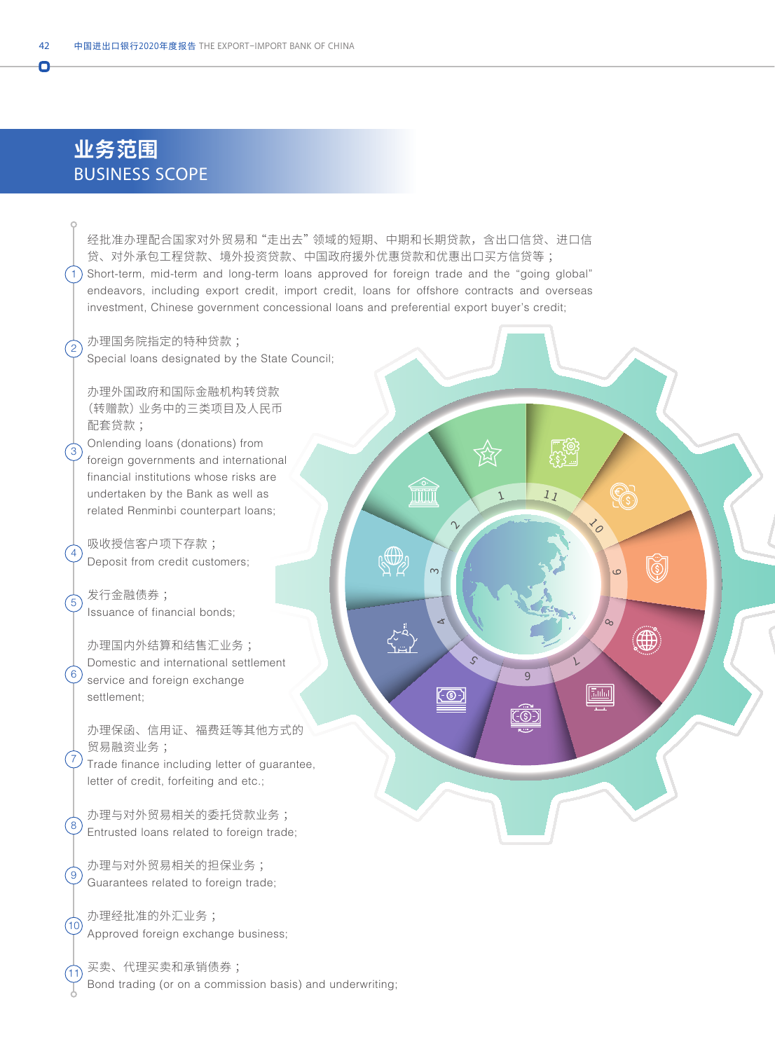## **业务范围** BUSINESS SCOPE

经批准办理配合国家对外贸易和"走出去"领域的短期、中期和长期贷款,含出口信贷、进口信 贷、对外承包工程贷款、境外投资贷款、中国政府援外优惠贷款和优惠出口买方信贷等 ; 1) Short-term, mid-term and long-term loans approved for foreign trade and the "going global" endeavors, including export credit, import credit, loans for offshore contracts and overseas investment, Chinese government concessional loans and preferential export buyer's credit;

1

 $1<sub>J</sub>$ 

<u>ුතුනු</u><br>දිනු <u>1</u>

 $\mathcal{E}_O$ 

 $\circ$ 

 $\alpha$ 

 $\boxed{\text{Total}}$ 

 $\bigoplus$ 

 $\downarrow$ 

6

<u>(C©F)</u>

 $\mathcal{S}$ 

 $\measuredangle$ 

<u>ලො</u>

 $\alpha$ 

 $\mathbb{Q}$ 

ffili

 $\gamma$ 

办理国务院指定的特种贷款 ; Special loans designated by the State Council;

办理外国政府和国际金融机构转贷款 (转赠款)业务中的三类项目及人民币 配套贷款 ;

Onlending loans (donations) from 3) Substituting teams (estimating main financial institutions whose risks are undertaken by the Bank as well as related Renminbi counterpart loans;

吸收授信客户项下存款 ; Deposit from credit customers;

发行金融债券 ; Issuance of financial bonds;

办理国内外结算和结售汇业务 ; Domestic and international settlement  $\overset{6}{\vee}$  service and foreign exchange settlement;

办理保函、信用证、福费廷等其他方式的 贸易融资业务 ;

 $\left( \frac{7}{2} \right)$  Trade finance including letter of guarantee, letter of credit, forfeiting and etc.;

办理与对外贸易相关的委托贷款业务 ; Entrusted loans related to foreign trade;

办理与对外贸易相关的担保业务 ; Guarantees related to foreign trade;

办理经批准的外汇业务 ; Approved foreign exchange business;

11

 $(10)$ 

 $\mathfrak{g}$ 

 $(8)$ 

 $\sqrt{5}$ 

4

 $\sqrt{2}$ 

O

买卖、代理买卖和承销债券 ; Bond trading (or on a commission basis) and underwriting;